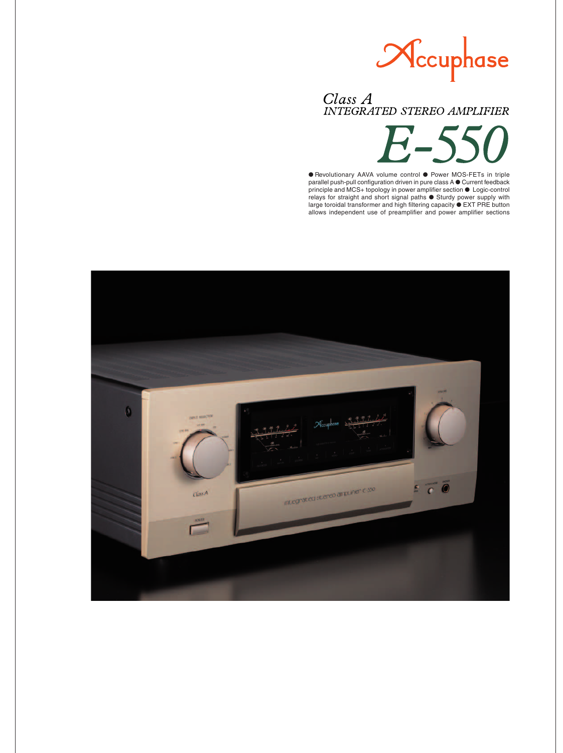

# Class A<br>INTEGRATED STEREO AMPLIFIER

 $\boldsymbol{\Gamma}$ 

● Revolutionary AAVA volume control ● Power MOS-FETs in triple parallel push-pull configuration driven in pure class A ● Current feedback principle and MCS+ topology in power amplifier section ● Logic-control relays for straight and short signal paths ● Sturdy power supply with large toroidal transformer and high filtering capacity ● EXT PRE button allows independent use of preamplifier and power amplifier sections

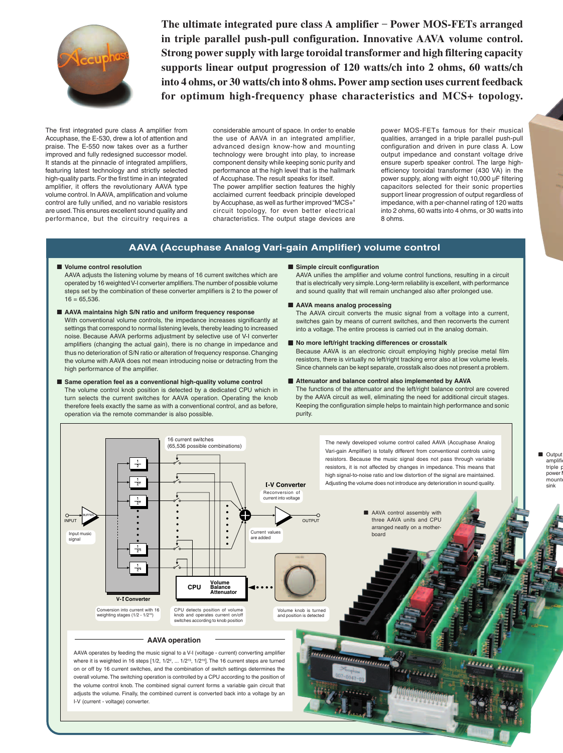

**The ultimate integrated pure class A amplifier** – **Power MOS-FETs arranged in triple parallel push-pull configuration. Innovative AAVA volume control. Strong power supply with large toroidal transformer and high filtering capacity supports linear output progression of 120 watts/ch into 2 ohms, 60 watts/ch into 4 ohms, or 30 watts/ch into 8 ohms. Power amp section uses current feedback for optimum high-frequency phase characteristics and MCS+ topology.**

The first integrated pure class A amplifier from Accuphase, the E-530, drew a lot of attention and praise. The E-550 now takes over as a further improved and fully redesigned successor model. It stands at the pinnacle of integrated amplifiers, featuring latest technology and strictly selected high-quality parts. For the first time in an integrated amplifier, it offers the revolutionary AAVA type volume control. In AAVA, amplification and volume control are fully unified, and no variable resistors are used. This ensures excellent sound quality and performance, but the circuitry requires a considerable amount of space. In order to enable the use of AAVA in an integrated amplifier, advanced design know-how and mounting technology were brought into play, to increase component density while keeping sonic purity and performance at the high level that is the hallmark of Accuphase. The result speaks for itself.

The power amplifier section features the highly acclaimed current feedback principle developed by Accuphase, as well as further improved "MCS+" circuit topology, for even better electrical characteristics. The output stage devices are

power MOS-FETs famous for their musical qualities, arranged in a triple parallel push-pull configuration and driven in pure class A. Low output impedance and constant voltage drive ensure superb speaker control. The large highefficiency toroidal transformer (430 VA) in the power supply, along with eight 10,000 µF filtering capacitors selected for their sonic properties support linear progression of output regardless of impedance, with a per-channel rating of 120 watts into 2 ohms, 60 watts into 4 ohms, or 30 watts into 8 ohms.

# **AAVA (Accuphase Analog Vari-gain Amplifier) volume control**

## ■ **Volume control resolution**

AAVA adjusts the listening volume by means of 16 current switches which are operated by 16 weighted V-I converter amplifiers. The number of possible volume steps set by the combination of these converter amplifiers is 2 to the power of  $16 = 65,536$ 

- **AAVA maintains high S/N ratio and uniform frequency response** With conventional volume controls, the impedance increases significantly at settings that correspond to normal listening levels, thereby leading to increased noise. Because AAVA performs adjustment by selective use of V-I converter amplifiers (changing the actual gain), there is no change in impedance and thus no deterioration of S/N ratio or alteration of frequency response. Changing the volume with AAVA does not mean introducing noise or detracting from the high performance of the amplifier.
- Same operation feel as a conventional high-quality volume control The volume control knob position is detected by a dedicated CPU which in turn selects the current switches for AAVA operation. Operating the knob therefore feels exactly the same as with a conventional control, and as before, operation via the remote commander is also possible.

■ Simple circuit configuration

AAVA unifies the amplifier and volume control functions, resulting in a circuit that is electrically very simple. Long-term reliability is excellent, with performance and sound quality that will remain unchanged also after prolonged use.

#### ■ **AAVA** means analog processing

The AAVA circuit converts the music signal from a voltage into a current, switches gain by means of current switches, and then reconverts the current into a voltage. The entire process is carried out in the analog domain.

■ **No more left/right tracking differences or crosstalk** 

Because AAVA is an electronic circuit employing highly precise metal film resistors, there is virtually no left/right tracking error also at low volume levels. Since channels can be kept separate, crosstalk also does not present a problem.

### ■ Attenuator and balance control also implemented by AAVA

The functions of the attenuator and the left/right balance control are covered by the AAVA circuit as well, eliminating the need for additional circuit stages. Keeping the configuration simple helps to maintain high performance and sonic purity.



I-V (current - voltage) converter.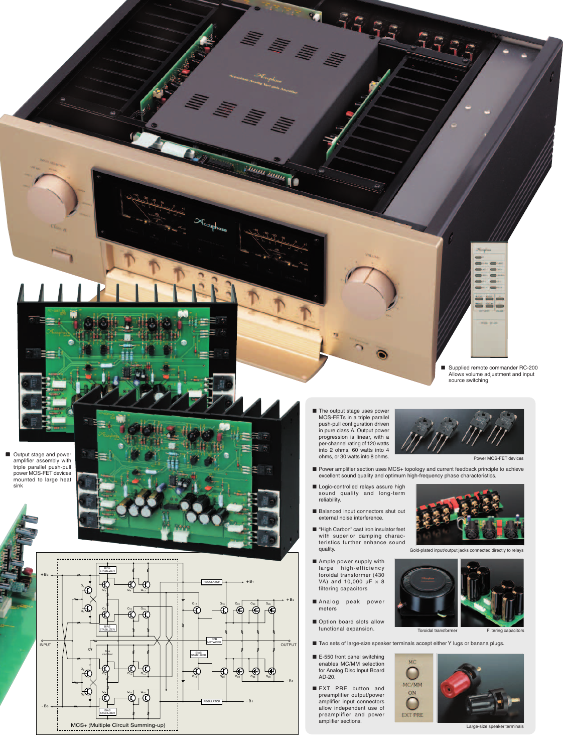■ Output stage and power amplifier assembly with triple parallel push-pull power MOS-FET devices mounted to large heat sink



■ Supplied remote commander RC-200<br>Allows volume adjustment and input source switching

**MOOD SEEM** 

■ The output stage uses power MOS-FETs in a triple parallel push-pull configuration driven in pure class A. Output power progression is linear, with a per-channel rating of 120 watts into 2 ohms, 60 watts into 4 ohms, or 30 watts into 8 ohms.

Tunn mm



Power MOS-FET devices

■ Power amplifier section uses MCS+ topology and current feedback principle to achieve excellent sound quality and optimum high-frequency phase characteristics.

35.55 59

- Logic-controlled relays assure high sound quality and long-term reliability.
- Balanced input connectors shut out external noise interference.
- "High Carbon" cast iron insulator feet with superior damping charac-teristics further enhance sound quality.
- Ample power supply with large high-efficiency toroidal transformer (430 VA) and 10,000  $\mu$ F  $\times$  8 filtering capacitors
- Analog peak power meters
- Option board slots allow functional expansion.
- Two sets of large-size speaker terminals accept either Y lugs or banana plugs.
- E-550 front panel switching<br>enables MC/MM selection for Analog Disc Input Board AD-20.
- EXT PRE button and preamplifier output/power amplifier input connectors allow independent use of preamplifier and power amplifier sections.







Large-size speaker terminals